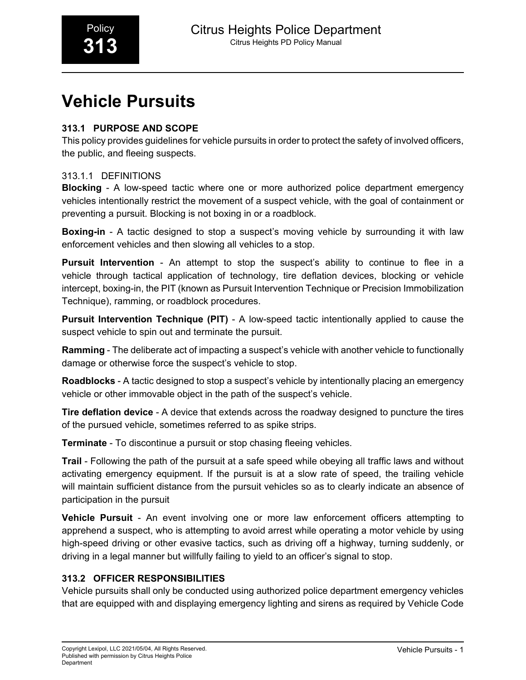# **Vehicle Pursuits**

# **313.1 PURPOSE AND SCOPE**

This policy provides guidelines for vehicle pursuits in order to protect the safety of involved officers, the public, and fleeing suspects.

# 313.1.1 DEFINITIONS

**Blocking** - A low-speed tactic where one or more authorized police department emergency vehicles intentionally restrict the movement of a suspect vehicle, with the goal of containment or preventing a pursuit. Blocking is not boxing in or a roadblock.

**Boxing-in** - A tactic designed to stop a suspect's moving vehicle by surrounding it with law enforcement vehicles and then slowing all vehicles to a stop.

**Pursuit Intervention** - An attempt to stop the suspect's ability to continue to flee in a vehicle through tactical application of technology, tire deflation devices, blocking or vehicle intercept, boxing-in, the PIT (known as Pursuit Intervention Technique or Precision Immobilization Technique), ramming, or roadblock procedures.

**Pursuit Intervention Technique (PIT)** - A low-speed tactic intentionally applied to cause the suspect vehicle to spin out and terminate the pursuit.

**Ramming** - The deliberate act of impacting a suspect's vehicle with another vehicle to functionally damage or otherwise force the suspect's vehicle to stop.

**Roadblocks** - A tactic designed to stop a suspect's vehicle by intentionally placing an emergency vehicle or other immovable object in the path of the suspect's vehicle.

**Tire deflation device** - A device that extends across the roadway designed to puncture the tires of the pursued vehicle, sometimes referred to as spike strips.

**Terminate** - To discontinue a pursuit or stop chasing fleeing vehicles.

**Trail** - Following the path of the pursuit at a safe speed while obeying all traffic laws and without activating emergency equipment. If the pursuit is at a slow rate of speed, the trailing vehicle will maintain sufficient distance from the pursuit vehicles so as to clearly indicate an absence of participation in the pursuit

**Vehicle Pursuit** - An event involving one or more law enforcement officers attempting to apprehend a suspect, who is attempting to avoid arrest while operating a motor vehicle by using high-speed driving or other evasive tactics, such as driving off a highway, turning suddenly, or driving in a legal manner but willfully failing to yield to an officer's signal to stop.

# **313.2 OFFICER RESPONSIBILITIES**

Vehicle pursuits shall only be conducted using authorized police department emergency vehicles that are equipped with and displaying emergency lighting and sirens as required by Vehicle Code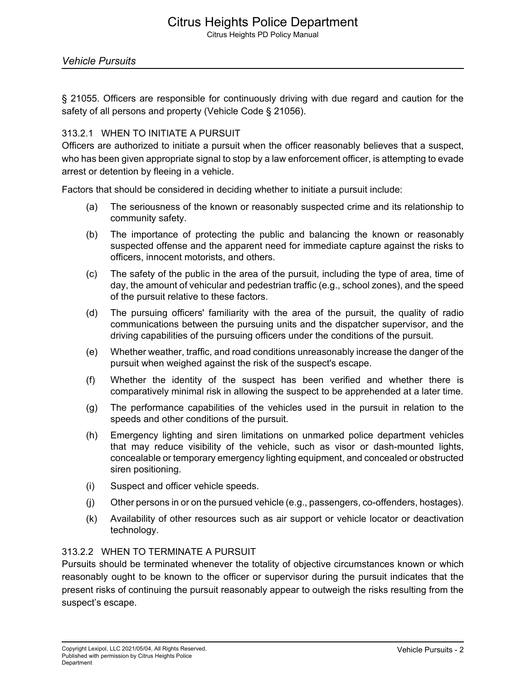# Citrus Heights Police Department

Citrus Heights PD Policy Manual

§ 21055. Officers are responsible for continuously driving with due regard and caution for the safety of all persons and property (Vehicle Code § 21056).

#### 313.2.1 WHEN TO INITIATE A PURSUIT

Officers are authorized to initiate a pursuit when the officer reasonably believes that a suspect, who has been given appropriate signal to stop by a law enforcement officer, is attempting to evade arrest or detention by fleeing in a vehicle.

Factors that should be considered in deciding whether to initiate a pursuit include:

- (a) The seriousness of the known or reasonably suspected crime and its relationship to community safety.
- (b) The importance of protecting the public and balancing the known or reasonably suspected offense and the apparent need for immediate capture against the risks to officers, innocent motorists, and others.
- (c) The safety of the public in the area of the pursuit, including the type of area, time of day, the amount of vehicular and pedestrian traffic (e.g., school zones), and the speed of the pursuit relative to these factors.
- (d) The pursuing officers' familiarity with the area of the pursuit, the quality of radio communications between the pursuing units and the dispatcher supervisor, and the driving capabilities of the pursuing officers under the conditions of the pursuit.
- (e) Whether weather, traffic, and road conditions unreasonably increase the danger of the pursuit when weighed against the risk of the suspect's escape.
- (f) Whether the identity of the suspect has been verified and whether there is comparatively minimal risk in allowing the suspect to be apprehended at a later time.
- (g) The performance capabilities of the vehicles used in the pursuit in relation to the speeds and other conditions of the pursuit.
- (h) Emergency lighting and siren limitations on unmarked police department vehicles that may reduce visibility of the vehicle, such as visor or dash-mounted lights, concealable or temporary emergency lighting equipment, and concealed or obstructed siren positioning.
- (i) Suspect and officer vehicle speeds.
- (j) Other persons in or on the pursued vehicle (e.g., passengers, co-offenders, hostages).
- (k) Availability of other resources such as air support or vehicle locator or deactivation technology.

#### 313.2.2 WHEN TO TERMINATE A PURSUIT

Pursuits should be terminated whenever the totality of objective circumstances known or which reasonably ought to be known to the officer or supervisor during the pursuit indicates that the present risks of continuing the pursuit reasonably appear to outweigh the risks resulting from the suspect's escape.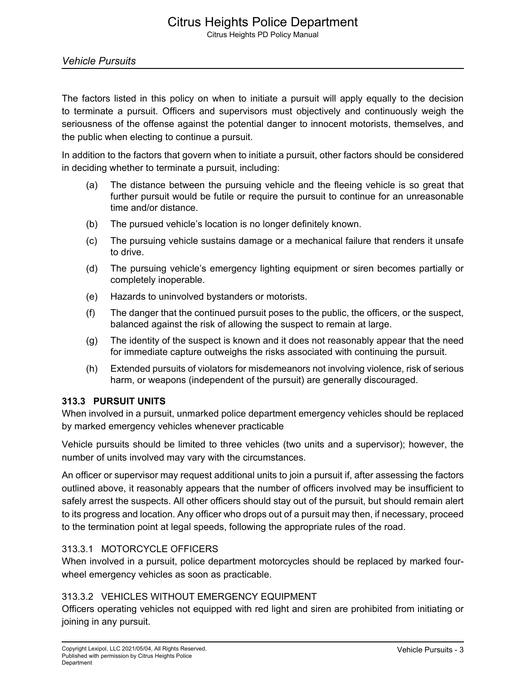The factors listed in this policy on when to initiate a pursuit will apply equally to the decision to terminate a pursuit. Officers and supervisors must objectively and continuously weigh the seriousness of the offense against the potential danger to innocent motorists, themselves, and the public when electing to continue a pursuit.

In addition to the factors that govern when to initiate a pursuit, other factors should be considered in deciding whether to terminate a pursuit, including:

- (a) The distance between the pursuing vehicle and the fleeing vehicle is so great that further pursuit would be futile or require the pursuit to continue for an unreasonable time and/or distance.
- (b) The pursued vehicle's location is no longer definitely known.
- (c) The pursuing vehicle sustains damage or a mechanical failure that renders it unsafe to drive.
- (d) The pursuing vehicle's emergency lighting equipment or siren becomes partially or completely inoperable.
- (e) Hazards to uninvolved bystanders or motorists.
- (f) The danger that the continued pursuit poses to the public, the officers, or the suspect, balanced against the risk of allowing the suspect to remain at large.
- (g) The identity of the suspect is known and it does not reasonably appear that the need for immediate capture outweighs the risks associated with continuing the pursuit.
- (h) Extended pursuits of violators for misdemeanors not involving violence, risk of serious harm, or weapons (independent of the pursuit) are generally discouraged.

# **313.3 PURSUIT UNITS**

When involved in a pursuit, unmarked police department emergency vehicles should be replaced by marked emergency vehicles whenever practicable

Vehicle pursuits should be limited to three vehicles (two units and a supervisor); however, the number of units involved may vary with the circumstances.

An officer or supervisor may request additional units to join a pursuit if, after assessing the factors outlined above, it reasonably appears that the number of officers involved may be insufficient to safely arrest the suspects. All other officers should stay out of the pursuit, but should remain alert to its progress and location. Any officer who drops out of a pursuit may then, if necessary, proceed to the termination point at legal speeds, following the appropriate rules of the road.

# 313.3.1 MOTORCYCLE OFFICERS

When involved in a pursuit, police department motorcycles should be replaced by marked fourwheel emergency vehicles as soon as practicable.

# 313.3.2 VEHICLES WITHOUT EMERGENCY EQUIPMENT

Officers operating vehicles not equipped with red light and siren are prohibited from initiating or joining in any pursuit.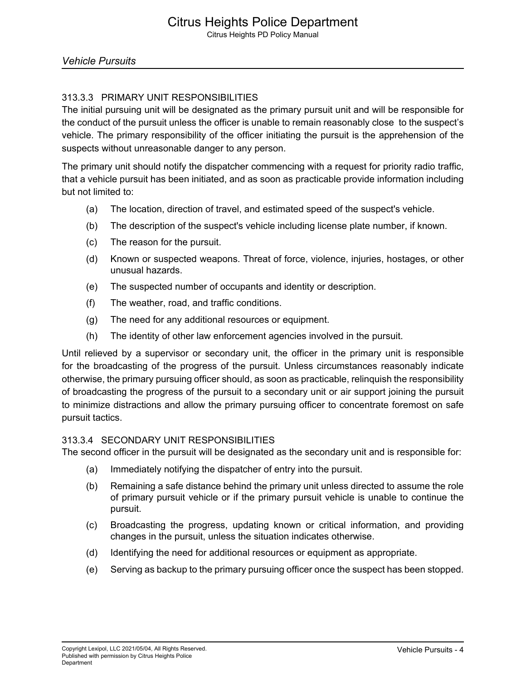# 313.3.3 PRIMARY UNIT RESPONSIBILITIES

The initial pursuing unit will be designated as the primary pursuit unit and will be responsible for the conduct of the pursuit unless the officer is unable to remain reasonably close to the suspect's vehicle. The primary responsibility of the officer initiating the pursuit is the apprehension of the suspects without unreasonable danger to any person.

The primary unit should notify the dispatcher commencing with a request for priority radio traffic, that a vehicle pursuit has been initiated, and as soon as practicable provide information including but not limited to:

- (a) The location, direction of travel, and estimated speed of the suspect's vehicle.
- (b) The description of the suspect's vehicle including license plate number, if known.
- (c) The reason for the pursuit.
- (d) Known or suspected weapons. Threat of force, violence, injuries, hostages, or other unusual hazards.
- (e) The suspected number of occupants and identity or description.
- (f) The weather, road, and traffic conditions.
- (g) The need for any additional resources or equipment.
- (h) The identity of other law enforcement agencies involved in the pursuit.

Until relieved by a supervisor or secondary unit, the officer in the primary unit is responsible for the broadcasting of the progress of the pursuit. Unless circumstances reasonably indicate otherwise, the primary pursuing officer should, as soon as practicable, relinquish the responsibility of broadcasting the progress of the pursuit to a secondary unit or air support joining the pursuit to minimize distractions and allow the primary pursuing officer to concentrate foremost on safe pursuit tactics.

#### 313.3.4 SECONDARY UNIT RESPONSIBILITIES

The second officer in the pursuit will be designated as the secondary unit and is responsible for:

- (a) Immediately notifying the dispatcher of entry into the pursuit.
- (b) Remaining a safe distance behind the primary unit unless directed to assume the role of primary pursuit vehicle or if the primary pursuit vehicle is unable to continue the pursuit.
- (c) Broadcasting the progress, updating known or critical information, and providing changes in the pursuit, unless the situation indicates otherwise.
- (d) Identifying the need for additional resources or equipment as appropriate.
- (e) Serving as backup to the primary pursuing officer once the suspect has been stopped.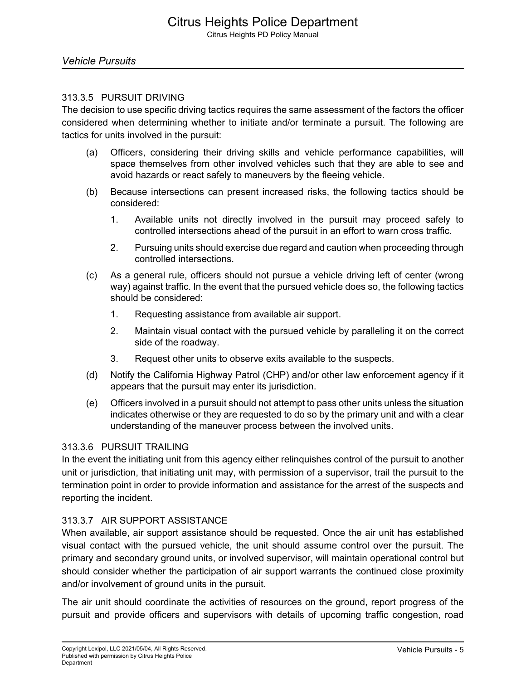#### 313.3.5 PURSUIT DRIVING

The decision to use specific driving tactics requires the same assessment of the factors the officer considered when determining whether to initiate and/or terminate a pursuit. The following are tactics for units involved in the pursuit:

- (a) Officers, considering their driving skills and vehicle performance capabilities, will space themselves from other involved vehicles such that they are able to see and avoid hazards or react safely to maneuvers by the fleeing vehicle.
- (b) Because intersections can present increased risks, the following tactics should be considered:
	- 1. Available units not directly involved in the pursuit may proceed safely to controlled intersections ahead of the pursuit in an effort to warn cross traffic.
	- 2. Pursuing units should exercise due regard and caution when proceeding through controlled intersections.
- (c) As a general rule, officers should not pursue a vehicle driving left of center (wrong way) against traffic. In the event that the pursued vehicle does so, the following tactics should be considered:
	- 1. Requesting assistance from available air support.
	- 2. Maintain visual contact with the pursued vehicle by paralleling it on the correct side of the roadway.
	- 3. Request other units to observe exits available to the suspects.
- (d) Notify the California Highway Patrol (CHP) and/or other law enforcement agency if it appears that the pursuit may enter its jurisdiction.
- (e) Officers involved in a pursuit should not attempt to pass other units unless the situation indicates otherwise or they are requested to do so by the primary unit and with a clear understanding of the maneuver process between the involved units.

#### 313.3.6 PURSUIT TRAILING

In the event the initiating unit from this agency either relinquishes control of the pursuit to another unit or jurisdiction, that initiating unit may, with permission of a supervisor, trail the pursuit to the termination point in order to provide information and assistance for the arrest of the suspects and reporting the incident.

# 313.3.7 AIR SUPPORT ASSISTANCE

When available, air support assistance should be requested. Once the air unit has established visual contact with the pursued vehicle, the unit should assume control over the pursuit. The primary and secondary ground units, or involved supervisor, will maintain operational control but should consider whether the participation of air support warrants the continued close proximity and/or involvement of ground units in the pursuit.

The air unit should coordinate the activities of resources on the ground, report progress of the pursuit and provide officers and supervisors with details of upcoming traffic congestion, road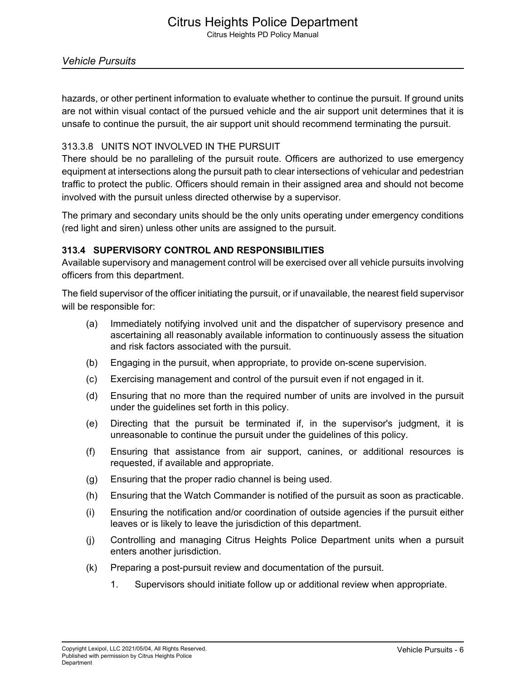# Citrus Heights Police Department

Citrus Heights PD Policy Manual

hazards, or other pertinent information to evaluate whether to continue the pursuit. If ground units are not within visual contact of the pursued vehicle and the air support unit determines that it is unsafe to continue the pursuit, the air support unit should recommend terminating the pursuit.

#### 313.3.8 UNITS NOT INVOLVED IN THE PURSUIT

There should be no paralleling of the pursuit route. Officers are authorized to use emergency equipment at intersections along the pursuit path to clear intersections of vehicular and pedestrian traffic to protect the public. Officers should remain in their assigned area and should not become involved with the pursuit unless directed otherwise by a supervisor.

The primary and secondary units should be the only units operating under emergency conditions (red light and siren) unless other units are assigned to the pursuit.

#### **313.4 SUPERVISORY CONTROL AND RESPONSIBILITIES**

Available supervisory and management control will be exercised over all vehicle pursuits involving officers from this department.

The field supervisor of the officer initiating the pursuit, or if unavailable, the nearest field supervisor will be responsible for:

- (a) Immediately notifying involved unit and the dispatcher of supervisory presence and ascertaining all reasonably available information to continuously assess the situation and risk factors associated with the pursuit.
- (b) Engaging in the pursuit, when appropriate, to provide on-scene supervision.
- (c) Exercising management and control of the pursuit even if not engaged in it.
- (d) Ensuring that no more than the required number of units are involved in the pursuit under the guidelines set forth in this policy.
- (e) Directing that the pursuit be terminated if, in the supervisor's judgment, it is unreasonable to continue the pursuit under the guidelines of this policy.
- (f) Ensuring that assistance from air support, canines, or additional resources is requested, if available and appropriate.
- (g) Ensuring that the proper radio channel is being used.
- (h) Ensuring that the Watch Commander is notified of the pursuit as soon as practicable.
- (i) Ensuring the notification and/or coordination of outside agencies if the pursuit either leaves or is likely to leave the jurisdiction of this department.
- (j) Controlling and managing Citrus Heights Police Department units when a pursuit enters another jurisdiction.
- (k) Preparing a post-pursuit review and documentation of the pursuit.
	- 1. Supervisors should initiate follow up or additional review when appropriate.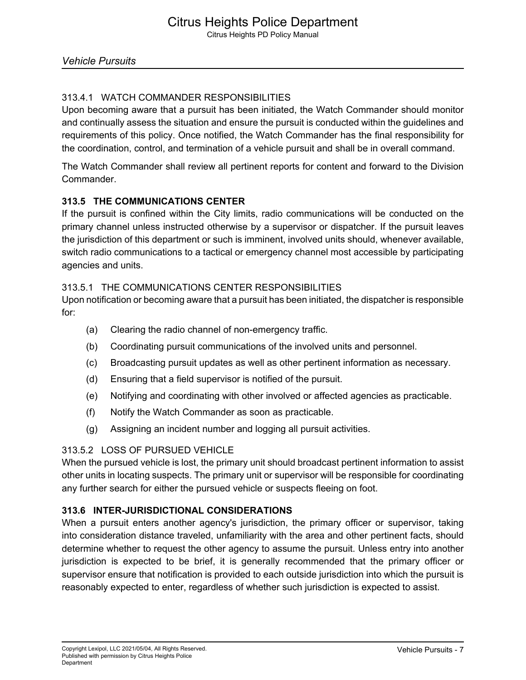# 313.4.1 WATCH COMMANDER RESPONSIBILITIES

Upon becoming aware that a pursuit has been initiated, the Watch Commander should monitor and continually assess the situation and ensure the pursuit is conducted within the guidelines and requirements of this policy. Once notified, the Watch Commander has the final responsibility for the coordination, control, and termination of a vehicle pursuit and shall be in overall command.

The Watch Commander shall review all pertinent reports for content and forward to the Division **Commander** 

# **313.5 THE COMMUNICATIONS CENTER**

If the pursuit is confined within the City limits, radio communications will be conducted on the primary channel unless instructed otherwise by a supervisor or dispatcher. If the pursuit leaves the jurisdiction of this department or such is imminent, involved units should, whenever available, switch radio communications to a tactical or emergency channel most accessible by participating agencies and units.

# 313.5.1 THE COMMUNICATIONS CENTER RESPONSIBILITIES

Upon notification or becoming aware that a pursuit has been initiated, the dispatcher is responsible for:

- (a) Clearing the radio channel of non-emergency traffic.
- (b) Coordinating pursuit communications of the involved units and personnel.
- (c) Broadcasting pursuit updates as well as other pertinent information as necessary.
- (d) Ensuring that a field supervisor is notified of the pursuit.
- (e) Notifying and coordinating with other involved or affected agencies as practicable.
- (f) Notify the Watch Commander as soon as practicable.
- (g) Assigning an incident number and logging all pursuit activities.

# 313.5.2 LOSS OF PURSUED VEHICLE

When the pursued vehicle is lost, the primary unit should broadcast pertinent information to assist other units in locating suspects. The primary unit or supervisor will be responsible for coordinating any further search for either the pursued vehicle or suspects fleeing on foot.

# **313.6 INTER-JURISDICTIONAL CONSIDERATIONS**

When a pursuit enters another agency's jurisdiction, the primary officer or supervisor, taking into consideration distance traveled, unfamiliarity with the area and other pertinent facts, should determine whether to request the other agency to assume the pursuit. Unless entry into another jurisdiction is expected to be brief, it is generally recommended that the primary officer or supervisor ensure that notification is provided to each outside jurisdiction into which the pursuit is reasonably expected to enter, regardless of whether such jurisdiction is expected to assist.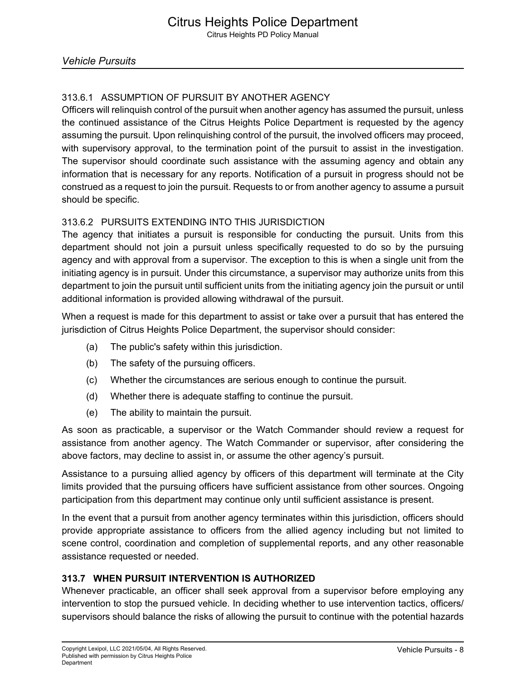# 313.6.1 ASSUMPTION OF PURSUIT BY ANOTHER AGENCY

Officers will relinquish control of the pursuit when another agency has assumed the pursuit, unless the continued assistance of the Citrus Heights Police Department is requested by the agency assuming the pursuit. Upon relinquishing control of the pursuit, the involved officers may proceed, with supervisory approval, to the termination point of the pursuit to assist in the investigation. The supervisor should coordinate such assistance with the assuming agency and obtain any information that is necessary for any reports. Notification of a pursuit in progress should not be construed as a request to join the pursuit. Requests to or from another agency to assume a pursuit should be specific.

# 313.6.2 PURSUITS EXTENDING INTO THIS JURISDICTION

The agency that initiates a pursuit is responsible for conducting the pursuit. Units from this department should not join a pursuit unless specifically requested to do so by the pursuing agency and with approval from a supervisor. The exception to this is when a single unit from the initiating agency is in pursuit. Under this circumstance, a supervisor may authorize units from this department to join the pursuit until sufficient units from the initiating agency join the pursuit or until additional information is provided allowing withdrawal of the pursuit.

When a request is made for this department to assist or take over a pursuit that has entered the jurisdiction of Citrus Heights Police Department, the supervisor should consider:

- (a) The public's safety within this jurisdiction.
- (b) The safety of the pursuing officers.
- (c) Whether the circumstances are serious enough to continue the pursuit.
- (d) Whether there is adequate staffing to continue the pursuit.
- (e) The ability to maintain the pursuit.

As soon as practicable, a supervisor or the Watch Commander should review a request for assistance from another agency. The Watch Commander or supervisor, after considering the above factors, may decline to assist in, or assume the other agency's pursuit.

Assistance to a pursuing allied agency by officers of this department will terminate at the City limits provided that the pursuing officers have sufficient assistance from other sources. Ongoing participation from this department may continue only until sufficient assistance is present.

In the event that a pursuit from another agency terminates within this jurisdiction, officers should provide appropriate assistance to officers from the allied agency including but not limited to scene control, coordination and completion of supplemental reports, and any other reasonable assistance requested or needed.

# **313.7 WHEN PURSUIT INTERVENTION IS AUTHORIZED**

Whenever practicable, an officer shall seek approval from a supervisor before employing any intervention to stop the pursued vehicle. In deciding whether to use intervention tactics, officers/ supervisors should balance the risks of allowing the pursuit to continue with the potential hazards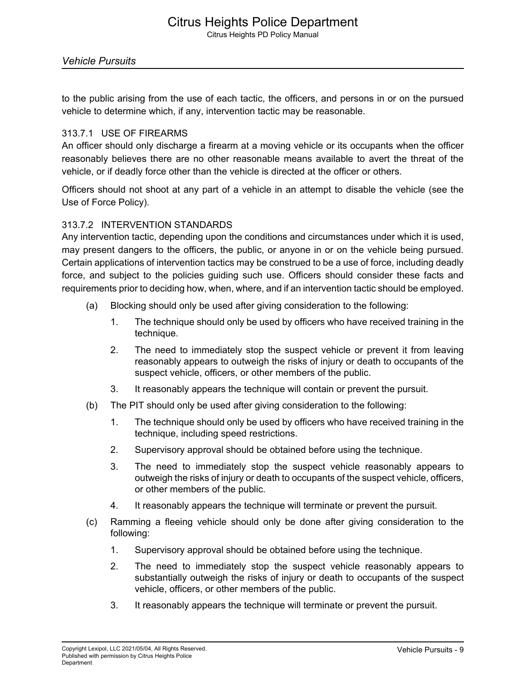to the public arising from the use of each tactic, the officers, and persons in or on the pursued vehicle to determine which, if any, intervention tactic may be reasonable.

#### 313.7.1 USE OF FIREARMS

An officer should only discharge a firearm at a moving vehicle or its occupants when the officer reasonably believes there are no other reasonable means available to avert the threat of the vehicle, or if deadly force other than the vehicle is directed at the officer or others.

Officers should not shoot at any part of a vehicle in an attempt to disable the vehicle (see the Use of Force Policy).

#### 313.7.2 INTERVENTION STANDARDS

Any intervention tactic, depending upon the conditions and circumstances under which it is used, may present dangers to the officers, the public, or anyone in or on the vehicle being pursued. Certain applications of intervention tactics may be construed to be a use of force, including deadly force, and subject to the policies guiding such use. Officers should consider these facts and requirements prior to deciding how, when, where, and if an intervention tactic should be employed.

- (a) Blocking should only be used after giving consideration to the following:
	- 1. The technique should only be used by officers who have received training in the technique.
	- 2. The need to immediately stop the suspect vehicle or prevent it from leaving reasonably appears to outweigh the risks of injury or death to occupants of the suspect vehicle, officers, or other members of the public.
	- 3. It reasonably appears the technique will contain or prevent the pursuit.
- (b) The PIT should only be used after giving consideration to the following:
	- 1. The technique should only be used by officers who have received training in the technique, including speed restrictions.
	- 2. Supervisory approval should be obtained before using the technique.
	- 3. The need to immediately stop the suspect vehicle reasonably appears to outweigh the risks of injury or death to occupants of the suspect vehicle, officers, or other members of the public.
	- 4. It reasonably appears the technique will terminate or prevent the pursuit.
- (c) Ramming a fleeing vehicle should only be done after giving consideration to the following:
	- 1. Supervisory approval should be obtained before using the technique.
	- 2. The need to immediately stop the suspect vehicle reasonably appears to substantially outweigh the risks of injury or death to occupants of the suspect vehicle, officers, or other members of the public.
	- 3. It reasonably appears the technique will terminate or prevent the pursuit.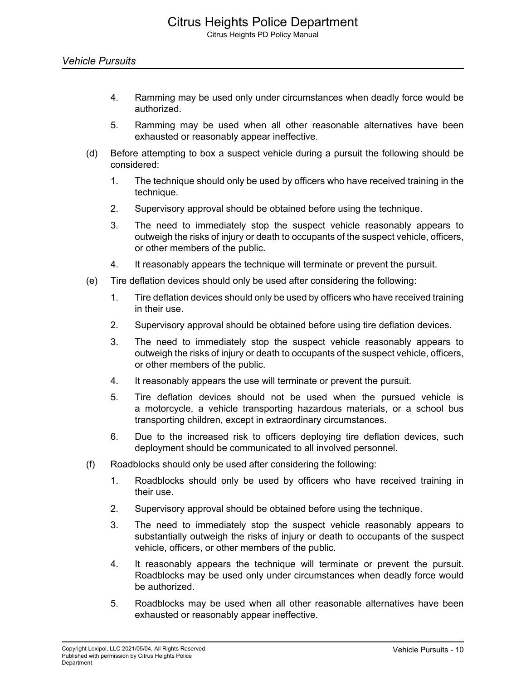- 4. Ramming may be used only under circumstances when deadly force would be authorized.
- 5. Ramming may be used when all other reasonable alternatives have been exhausted or reasonably appear ineffective.
- (d) Before attempting to box a suspect vehicle during a pursuit the following should be considered:
	- 1. The technique should only be used by officers who have received training in the technique.
	- 2. Supervisory approval should be obtained before using the technique.
	- 3. The need to immediately stop the suspect vehicle reasonably appears to outweigh the risks of injury or death to occupants of the suspect vehicle, officers, or other members of the public.
	- 4. It reasonably appears the technique will terminate or prevent the pursuit.
- (e) Tire deflation devices should only be used after considering the following:
	- 1. Tire deflation devices should only be used by officers who have received training in their use.
	- 2. Supervisory approval should be obtained before using tire deflation devices.
	- 3. The need to immediately stop the suspect vehicle reasonably appears to outweigh the risks of injury or death to occupants of the suspect vehicle, officers, or other members of the public.
	- 4. It reasonably appears the use will terminate or prevent the pursuit.
	- 5. Tire deflation devices should not be used when the pursued vehicle is a motorcycle, a vehicle transporting hazardous materials, or a school bus transporting children, except in extraordinary circumstances.
	- 6. Due to the increased risk to officers deploying tire deflation devices, such deployment should be communicated to all involved personnel.
- (f) Roadblocks should only be used after considering the following:
	- 1. Roadblocks should only be used by officers who have received training in their use.
	- 2. Supervisory approval should be obtained before using the technique.
	- 3. The need to immediately stop the suspect vehicle reasonably appears to substantially outweigh the risks of injury or death to occupants of the suspect vehicle, officers, or other members of the public.
	- 4. It reasonably appears the technique will terminate or prevent the pursuit. Roadblocks may be used only under circumstances when deadly force would be authorized.
	- 5. Roadblocks may be used when all other reasonable alternatives have been exhausted or reasonably appear ineffective.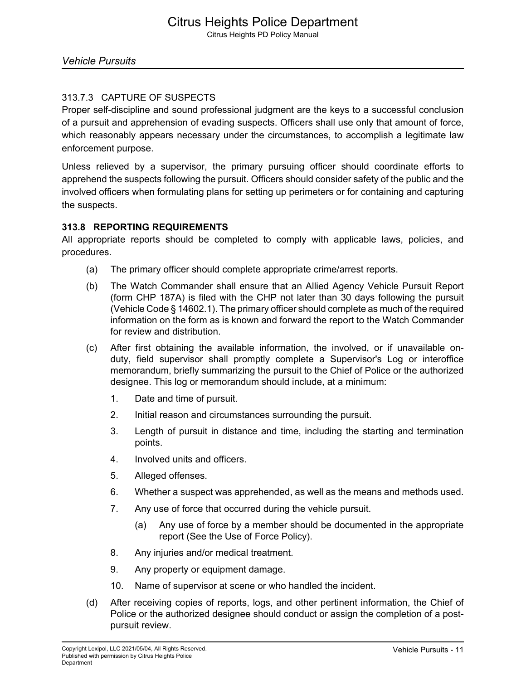# 313.7.3 CAPTURE OF SUSPECTS

Proper self-discipline and sound professional judgment are the keys to a successful conclusion of a pursuit and apprehension of evading suspects. Officers shall use only that amount of force, which reasonably appears necessary under the circumstances, to accomplish a legitimate law enforcement purpose.

Unless relieved by a supervisor, the primary pursuing officer should coordinate efforts to apprehend the suspects following the pursuit. Officers should consider safety of the public and the involved officers when formulating plans for setting up perimeters or for containing and capturing the suspects.

# **313.8 REPORTING REQUIREMENTS**

All appropriate reports should be completed to comply with applicable laws, policies, and procedures.

- (a) The primary officer should complete appropriate crime/arrest reports.
- (b) The Watch Commander shall ensure that an Allied Agency Vehicle Pursuit Report (form CHP 187A) is filed with the CHP not later than 30 days following the pursuit (Vehicle Code § 14602.1). The primary officer should complete as much of the required information on the form as is known and forward the report to the Watch Commander for review and distribution.
- (c) After first obtaining the available information, the involved, or if unavailable onduty, field supervisor shall promptly complete a Supervisor's Log or interoffice memorandum, briefly summarizing the pursuit to the Chief of Police or the authorized designee. This log or memorandum should include, at a minimum:
	- 1. Date and time of pursuit.
	- 2. Initial reason and circumstances surrounding the pursuit.
	- 3. Length of pursuit in distance and time, including the starting and termination points.
	- 4. Involved units and officers.
	- 5. Alleged offenses.
	- 6. Whether a suspect was apprehended, as well as the means and methods used.
	- 7. Any use of force that occurred during the vehicle pursuit.
		- (a) Any use of force by a member should be documented in the appropriate report (See the Use of Force Policy).
	- 8. Any injuries and/or medical treatment.
	- 9. Any property or equipment damage.
	- 10. Name of supervisor at scene or who handled the incident.
- (d) After receiving copies of reports, logs, and other pertinent information, the Chief of Police or the authorized designee should conduct or assign the completion of a postpursuit review.